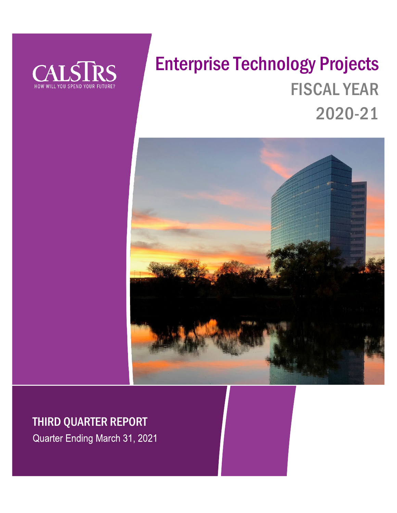

# Enterprise Technology Projects FISCAL YEAR 2020-21



# THIRD QUARTER REPORT

Quarter Ending March 31, 2021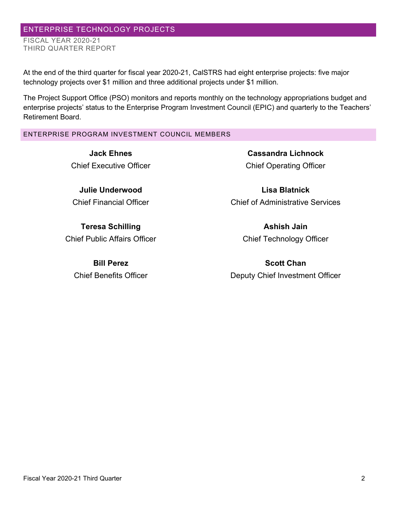# ENTERPRISE TECHNOLOGY PROJECTS FISCAL YEAR 2020-21

THIRD QUARTER REPORT

At the end of the third quarter for fiscal year 2020-21, CalSTRS had eight enterprise projects: five major technology projects over \$1 million and three additional projects under \$1 million.

The Project Support Office (PSO) monitors and reports monthly on the technology appropriations budget and enterprise projects' status to the Enterprise Program Investment Council (EPIC) and quarterly to the Teachers' Retirement Board.

# ENTERPRISE PROGRAM INVESTMENT COUNCIL MEMBERS

**Jack Ehnes** Chief Executive Officer

**Julie Underwood** Chief Financial Officer

**Teresa Schilling** Chief Public Affairs Officer

**Bill Perez** Chief Benefits Officer

**Cassandra Lichnock** Chief Operating Officer

**Lisa Blatnick** Chief of Administrative Services

> **Ashish Jain** Chief Technology Officer

**Scott Chan** Deputy Chief Investment Officer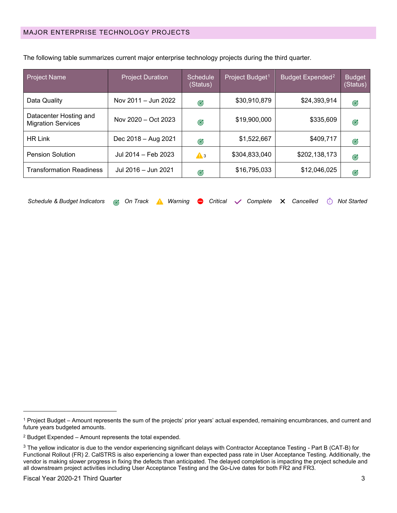| <b>Project Name</b>                                 | <b>Project Duration</b> | Schedule<br>(Status) | Project Budget <sup>1</sup> | Budget Expended <sup>2</sup> | <b>Budget</b><br>(Status) |
|-----------------------------------------------------|-------------------------|----------------------|-----------------------------|------------------------------|---------------------------|
| Data Quality                                        | Nov 2011 - Jun 2022     | Ø                    | \$30,910,879                | \$24,393,914                 | G                         |
| Datacenter Hosting and<br><b>Migration Services</b> | Nov 2020 - Oct 2023     | Ø                    | \$19,900,000                | \$335,609                    | Ø                         |
| <b>HR Link</b>                                      | Dec 2018 - Aug 2021     | Ø                    | \$1,522,667                 | \$409,717                    | G                         |
| <b>Pension Solution</b>                             | Jul 2014 - Feb 2023     | $\mathbf{A}$ 3       | \$304,833,040               | \$202,138,173                | G                         |
| <b>Transformation Readiness</b>                     | Jul 2016 - Jun 2021     | Ø                    | \$16,795,033                | \$12,046,025                 | Ø                         |

The following table summarizes current major enterprise technology projects during the third quarter.

| Schedule & Budget Indicators @ On Track A Warning ● Critical √ Complete × Cancelled © Not Started |  |  |  |  |  |  |  |  |  |  |  |  |
|---------------------------------------------------------------------------------------------------|--|--|--|--|--|--|--|--|--|--|--|--|
|---------------------------------------------------------------------------------------------------|--|--|--|--|--|--|--|--|--|--|--|--|

<span id="page-2-0"></span><sup>1</sup> Project Budget – Amount represents the sum of the projects' prior years' actual expended, remaining encumbrances, and current and future years budgeted amounts.

<span id="page-2-1"></span><sup>2</sup> Budget Expended – Amount represents the total expended.

<span id="page-2-2"></span><sup>&</sup>lt;sup>3</sup> The yellow indicator is due to the vendor experiencing significant delays with Contractor Acceptance Testing - Part B (CAT-B) for Functional Rollout (FR) 2. CalSTRS is also experiencing a lower than expected pass rate in User Acceptance Testing. Additionally, the vendor is making slower progress in fixing the defects than anticipated. The delayed completion is impacting the project schedule and all downstream project activities including User Acceptance Testing and the Go-Live dates for both FR2 and FR3.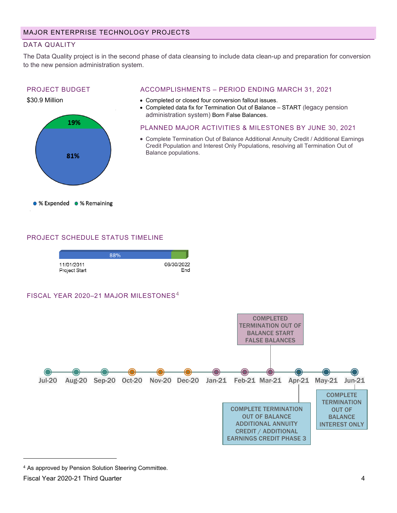# DATA QUALITY

The Data Quality project is in the second phase of data cleansing to include data clean-up and preparation for conversion to the new pension administration system.

# PROJECT BUDGET





# ACCOMPLISHMENTS – PERIOD ENDING MARCH 31, 2021

- Completed or closed four conversion fallout issues.
- Completed data fix for Termination Out of Balance START (legacy pension administration system) Born False Balances.
- PLANNED MAJOR ACTIVITIES & MILESTONES BY JUNE 30, 2021
- Complete Termination Out of Balance Additional Annuity Credit / Additional Earnings Credit Population and Interest Only Populations, resolving all Termination Out of Balance populations.

# PROJECT SCHEDULE STATUS TIMELINE

|                             | 88% |                   |
|-----------------------------|-----|-------------------|
| 11/01/2011<br>Project Start |     | 06/30/2022<br>Fnd |

FISCAL YEAR 2020-21 MAJOR MILESTONES<sup>[4](#page-3-0)</sup>



<span id="page-3-0"></span><sup>4</sup> As approved by Pension Solution Steering Committee.

Fiscal Year 2020-21 Third Quarter 4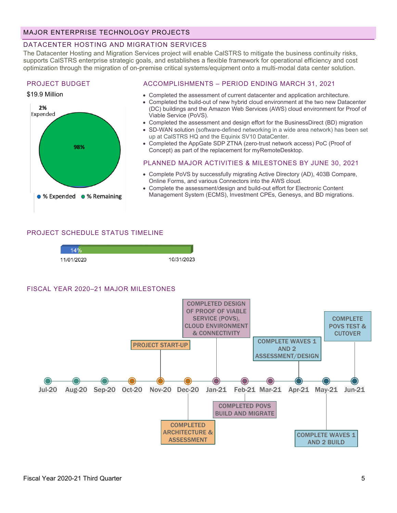# MAJOR ENTERPRISE TECHNOLOGY PROJECTS

# DATACENTER HOSTING AND MIGRATION SERVICES

The Datacenter Hosting and Migration Services project will enable CalSTRS to mitigate the business continuity risks, supports CalSTRS enterprise strategic goals, and establishes a flexible framework for operational efficiency and cost optimization through the migration of on-premise critical systems/equipment onto a multi-modal data center solution.

#### PROJECT BUDGET

#### \$19.9 Million



#### ACCOMPLISHMENTS – PERIOD ENDING MARCH 31, 2021

- Completed the assessment of current datacenter and application architecture.
- Completed the build-out of new hybrid cloud environment at the two new Datacenter (DC) buildings and the Amazon Web Services (AWS) cloud environment for Proof of Viable Service (PoVS).
- Completed the assessment and design effort for the BusinessDirect (BD) migration
- SD-WAN solution (software-defined networking in a wide area network) has been set up at CalSTRS HQ and the Equinix SV10 DataCenter.
- Completed the AppGate SDP ZTNA (zero-trust network access) PoC (Proof of Concept) as part of the replacement for myRemoteDesktop.

#### PLANNED MAJOR ACTIVITIES & MILESTONES BY JUNE 30, 2021

- Complete PoVS by successfully migrating Active Directory (AD), 403B Compare, Online Forms, and various Connectors into the AWS cloud.
- Complete the assessment/design and build-out effort for Electronic Content Management System (ECMS), Investment CPEs, Genesys, and BD migrations.

#### PROJECT SCHEDULE STATUS TIMELINE



#### FISCAL YEAR 2020–21 MAJOR MILESTONES

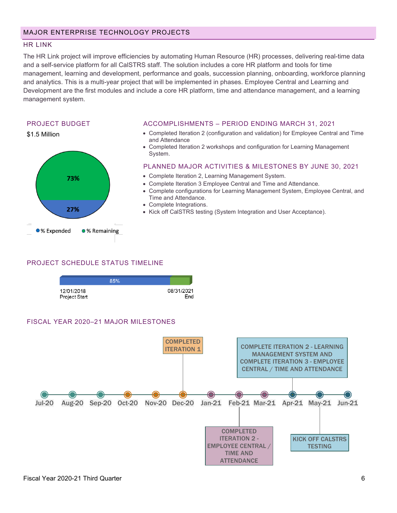# MAJOR ENTERPRISE TECHNOLOGY PROJECTS

#### HR LINK

The HR Link project will improve efficiencies by automating Human Resource (HR) processes, delivering real-time data and a self-service platform for all CalSTRS staff. The solution includes a core HR platform and tools for time management, learning and development, performance and goals, succession planning, onboarding, workforce planning and analytics. This is a multi-year project that will be implemented in phases. Employee Central and Learning and Development are the first modules and include a core HR platform, time and attendance management, and a learning management system.

#### PROJECT BUDGET



#### ACCOMPLISHMENTS – PERIOD ENDING MARCH 31, 2021

- Completed Iteration 2 (configuration and validation) for Employee Central and Time and Attendance
- Completed Iteration 2 workshops and configuration for Learning Management System.

#### PLANNED MAJOR ACTIVITIES & MILESTONES BY JUNE 30, 2021

- Complete Iteration 2, Learning Management System.
- Complete Iteration 3 Employee Central and Time and Attendance.
- Complete configurations for Learning Management System, Employee Central, and Time and Attendance.
- Complete Integrations.
- Kick off CalSTRS testing (System Integration and User Acceptance).

#### PROJECT SCHEDULE STATUS TIMELINE

|                             | 85% |                   |
|-----------------------------|-----|-------------------|
| 12/01/2018<br>Project Start |     | 08/31/2021<br>Fnd |

#### FISCAL YEAR 2020–21 MAJOR MILESTONES

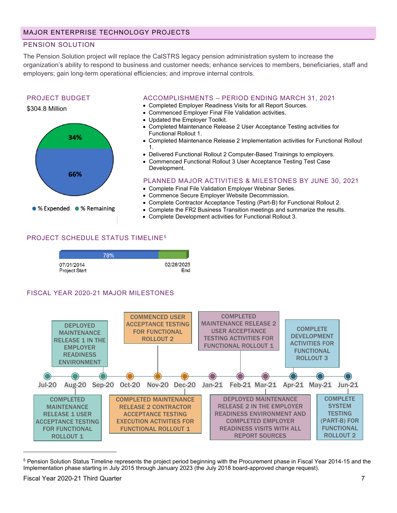# PENSION SOLUTION

The Pension Solution project will replace the CalSTRS legacy pension administration system to increase the organization's ability to respond to business and customer needs; enhance services to members, beneficiaries, staff and employers; gain long-term operational efficiencies; and improve internal controls.

# PROJECT BUDGET





# ACCOMPLISHMENTS – PERIOD ENDING MARCH 31, 2021

- Completed Employer Readiness Visits for all Report Sources.
- Commenced Employer Final File Validation activities.
- Updated the Employer Toolkit.
- Completed Maintenance Release 2 User Acceptance Testing activities for Functional Rollout 1.
- Completed Maintenance Release 2 Implementation activities for Functional Rollout 1.
- Delivered Functional Rollout 2 Computer-Based Trainings to employers.
- Commenced Functional Rollout 3 User Acceptance Testing Test Case Development.

#### PLANNED MAJOR ACTIVITIES & MILESTONES BY JUNE 30, 2021

- Complete Final File Validation Employer Webinar Series.
- Commence Secure Employer Website Decommission.
- Complete Contractor Acceptance Testing (Part-B) for Functional Rollout 2.
- Complete the FR2 Business Transition meetings and summarize the results.
- Complete Development activities for Functional Rollout 3.

# PROJECT SCHEDULE STATUS TIMELINE[5](#page-6-0)

|                             | 78% |                   |
|-----------------------------|-----|-------------------|
| 07/01/2014<br>Project Start |     | 02/28/2023<br>End |

# FISCAL YEAR 2020-21 MAJOR MILESTONES



<span id="page-6-0"></span><sup>&</sup>lt;sup>5</sup> Pension Solution Status Timeline represents the project period beginning with the Procurement phase in Fiscal Year 2014-15 and the Implementation phase starting in July 2015 through January 2023 (the July 2018 board-approved change request).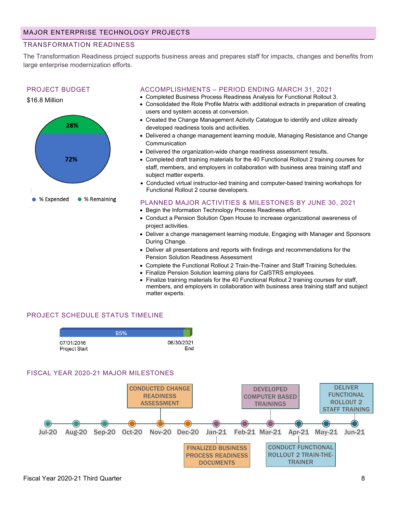# TRANSFORMATION READINESS

The Transformation Readiness project supports business areas and prepares staff for impacts, changes and benefits from large enterprise modernization efforts.

#### PROJECT BUDGET





#### ACCOMPLISHMENTS – PERIOD ENDING MARCH 31, 2021

- Completed Business Process Readiness Analysis for Functional Rollout 3.
- Consolidated the Role Profile Matrix with additional extracts in preparation of creating users and system access at conversion.
- Created the Change Management Activity Catalogue to identify and utilize already developed readiness tools and activities.
- Delivered a change management learning module, Managing Resistance and Change Communication
- Delivered the organization-wide change readiness assessment results.
- Completed draft training materials for the 40 Functional Rollout 2 training courses for staff, members, and employers in collaboration with business area training staff and subject matter experts.
- Conducted virtual instructor-led training and computer-based training workshops for Functional Rollout 2 course developers.
- PLANNED MAJOR ACTIVITIES & MILESTONES BY JUNE 30, 2021
- Begin the Information Technology Process Readiness effort.
- Conduct a Pension Solution Open House to increase organizational awareness of project activities.
- Deliver a change management learning module, Engaging with Manager and Sponsors During Change.
- Deliver all presentations and reports with findings and recommendations for the Pension Solution Readiness Assessment
- Complete the Functional Rollout 2 Train-the-Trainer and Staff Training Schedules.
- Finalize Pension Solution learning plans for CalSTRS employees.
- Finalize training materials for the 40 Functional Rollout 2 training courses for staff, members, and employers in collaboration with business area training staff and subject matter experts.

# PROJECT SCHEDULE STATUS TIMELINE



#### FISCAL YEAR 2020-21 MAJOR MILESTONES